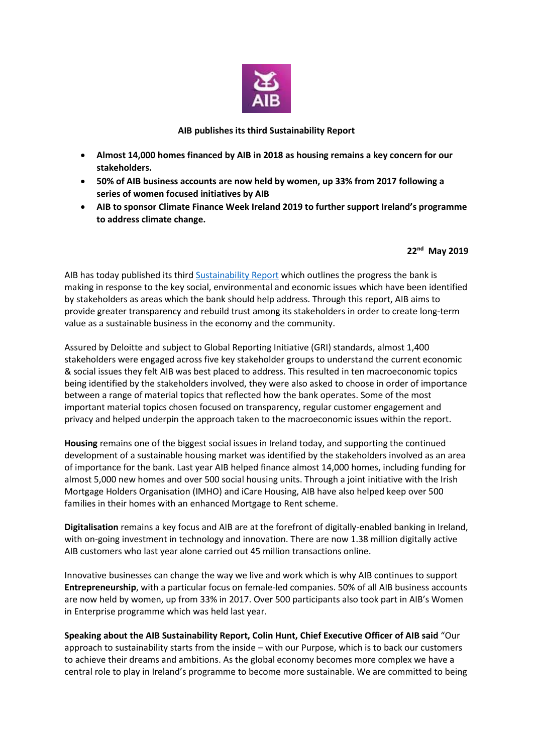

## **AIB publishes its third Sustainability Report**

- **Almost 14,000 homes financed by AIB in 2018 as housing remains a key concern for our stakeholders.**
- **50% of AIB business accounts are now held by women, up 33% from 2017 following a series of women focused initiatives by AIB**
- **AIB to sponsor Climate Finance Week Ireland 2019 to further support Ireland's programme to address climate change.**

## **22nd May 2019**

AIB has today published its thir[d Sustainability Report](https://aib.ie/content/dam/aib/personal/docs/sustainability/sustainability-detailed-report-2018.pdf) which outlines the progress the bank is making in response to the key social, environmental and economic issues which have been identified by stakeholders as areas which the bank should help address. Through this report, AIB aims to provide greater transparency and rebuild trust among its stakeholders in order to create long-term value as a sustainable business in the economy and the community.

Assured by Deloitte and subject to Global Reporting Initiative (GRI) standards, almost 1,400 stakeholders were engaged across five key stakeholder groups to understand the current economic & social issues they felt AIB was best placed to address. This resulted in ten macroeconomic topics being identified by the stakeholders involved, they were also asked to choose in order of importance between a range of material topics that reflected how the bank operates. Some of the most important material topics chosen focused on transparency, regular customer engagement and privacy and helped underpin the approach taken to the macroeconomic issues within the report.

**Housing** remains one of the biggest social issues in Ireland today, and supporting the continued development of a sustainable housing market was identified by the stakeholders involved as an area of importance for the bank. Last year AIB helped finance almost 14,000 homes, including funding for almost 5,000 new homes and over 500 social housing units. Through a joint initiative with the Irish Mortgage Holders Organisation (IMHO) and iCare Housing, AIB have also helped keep over 500 families in their homes with an enhanced Mortgage to Rent scheme.

**Digitalisation** remains a key focus and AIB are at the forefront of digitally-enabled banking in Ireland, with on-going investment in technology and innovation. There are now 1.38 million digitally active AIB customers who last year alone carried out 45 million transactions online.

Innovative businesses can change the way we live and work which is why AIB continues to support **Entrepreneurship**, with a particular focus on female-led companies. 50% of all AIB business accounts are now held by women, up from 33% in 2017. Over 500 participants also took part in AIB's Women in Enterprise programme which was held last year.

**Speaking about the AIB Sustainability Report, Colin Hunt, Chief Executive Officer of AIB said** "Our approach to sustainability starts from the inside – with our Purpose, which is to back our customers to achieve their dreams and ambitions. As the global economy becomes more complex we have a central role to play in Ireland's programme to become more sustainable. We are committed to being